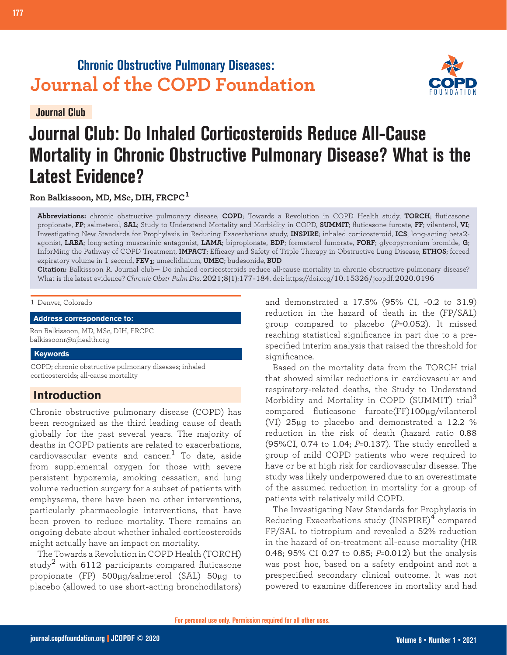# **Chronic Obstructive Pulmonary Diseases: Journal of the COPD Foundation**

**Journal Club**

# **Journal Club: Do Inhaled Corticosteroids Reduce All-Cause Mortality in Chronic Obstructive Pulmonary Disease? What is the Latest Evidence?**

**Ron Balkissoon, MD, MSc, DIH, FRCPC<sup>1</sup>**

**Abbreviations:** chronic obstructive pulmonary disease, **COPD**; Towards a Revolution in COPD Health study, **TORCH**; fluticasone propionate, **FP**; salmeterol, **SAL**; Study to Understand Mortality and Morbidity in COPD, **SUMMIT**; fluticasone furoate, **FF**; vilanterol, **VI**; Investigating New Standards for Prophylaxis in Reducing Exacerbations study, **INSPIRE**; inhaled corticosteroid, **ICS**; long-acting beta2 agonist, **LABA**; long-acting muscarinic antagonist, **LAMA**; bipropionate, **BDP**; formaterol fumorate, **FORF**; glycopyrronium bromide, **G**; InforMing the Pathway of COPD Treatment, **IMPACT**; Efficacy and Safety of Triple Therapy in Obstructive Lung Disease, **ETHOS**; forced expiratory volume in 1 second, **FEV1**; umeclidinium, **UMEC**; budesonide, **BUD**

**Citation:** Balkissoon R. Journal club— Do inhaled corticosteroids reduce all-cause mortality in chronic obstructive pulmonary disease? What is the latest evidence? *Chronic Obstr Pulm Dis*. 2021;8(1):177-184. doi: https://doi.org/10.15326/jcopdf.2020.0196

#### 1 Denver, Colorado

**Address correspondence to:**

Ron Balkissoon, MD, MSc, DIH, FRCPC balkissoonr@njhealth.org

#### **Keywords**

COPD; chronic obstructive pulmonary diseases; inhaled corticosteroids; all-cause mortality

# **Introduction**

Chronic obstructive pulmonary disease (COPD) has been recognized as the third leading cause of death globally for the past several years. The majority of deaths in COPD patients are related to exacerbations, cardiovascular events and cancer.<sup>1</sup> To date, aside from supplemental oxygen for those with severe persistent hypoxemia, smoking cessation, and lung volume reduction surgery for a subset of patients with emphysema, there have been no other interventions, particularly pharmacologic interventions, that have been proven to reduce mortality. There remains an ongoing debate about whether inhaled corticosteroids might actually have an impact on mortality.

 The Towards a Revolution in COPD Health (TORCH) study<sup>2</sup> with 6112 participants compared fluticasone propionate (FP) 500µg/salmeterol (SAL) 50µg to placebo (allowed to use short-acting bronchodilators) and demonstrated a 17.5% (95% CI, -0.2 to 31.9) reduction in the hazard of death in the (FP/SAL) group compared to placebo (*P*=0.052). It missed reaching statistical significance in part due to a prespecified interim analysis that raised the threshold for significance.

Based on the mortality data from the TORCH trial that showed similar reductions in cardiovascular and respiratory-related deaths, the Study to Understand Morbidity and Mortality in COPD (SUMMIT) trial<sup>3</sup> compared fluticasone furoate(FF)100µg/vilanterol (VI) 25µg to placebo and demonstrated a 12.2 % reduction in the risk of death (hazard ratio 0.88 (95%CI, 0.74 to 1.04; *P*=0.137). The study enrolled a group of mild COPD patients who were required to have or be at high risk for cardiovascular disease. The study was likely underpowered due to an overestimate of the assumed reduction in mortality for a group of patients with relatively mild COPD.

The Investigating New Standards for Prophylaxis in Reducing Exacerbations study (INSPIRE)<sup>4</sup> compared FP/SAL to tiotropium and revealed a 52% reduction in the hazard of on-treatment all-cause mortality (HR 0.48; 95% CI 0.27 to 0.85; *P*=0.012) but the analysis was post hoc, based on a safety endpoint and not a prespecified secondary clinical outcome. It was not powered to examine differences in mortality and had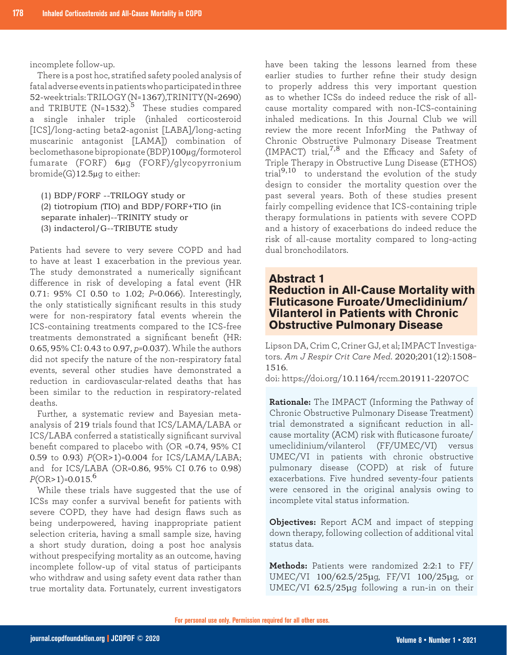incomplete follow-up.

There is a post hoc, stratified safety pooled analysis of fatal adverse events in patients who participated in three 52-week trials: TRILOGY (N=1367),TRINITY(N=2690) and TRIBUTE (N=1532).<sup>5</sup> These studies compared a single inhaler triple (inhaled corticosteroid [ICS]/long-acting beta2-agonist [LABA]/long-acting muscarinic antagonist [LAMA]) combination of beclomethasone bipropionate (BDP)100µg/formoterol fumarate (FORF) 6µg (FORF)/glycopyrronium bromide(G)12.5µg to either:

(1) BDP/FORF --TRILOGY study or (2) tiotropium (TIO) and BDP/FORF+TIO (in separate inhaler)--TRINITY study or (3) indacterol/G--TRIBUTE study

Patients had severe to very severe COPD and had to have at least 1 exacerbation in the previous year. The study demonstrated a numerically significant difference in risk of developing a fatal event (HR 0.71: 95% CI 0.50 to 1.02; *P*=0.066). Interestingly, the only statistically significant results in this study were for non-respiratory fatal events wherein the ICS-containing treatments compared to the ICS-free treatments demonstrated a significant benefit (HR: 0.65, 95% CI: 0.43 to 0.97, *p*=0.037). While the authors did not specify the nature of the non-respiratory fatal events, several other studies have demonstrated a reduction in cardiovascular-related deaths that has been similar to the reduction in respiratory-related deaths.

Further, a systematic review and Bayesian metaanalysis of 219 trials found that ICS/LAMA/LABA or ICS/LABA conferred a statistically significant survival benefit compared to placebo with (OR =0.74, 95% CI 0.59 to 0.93) *P*(OR>1)=0.004 for ICS/LAMA/LABA; and for ICS/LABA (OR=0.86, 95% CI 0.76 to 0.98) *P*(OR>1)=0.015. 6

While these trials have suggested that the use of ICSs may confer a survival benefit for patients with severe COPD, they have had design flaws such as being underpowered, having inappropriate patient selection criteria, having a small sample size, having a short study duration, doing a post hoc analysis without prespecifying mortality as an outcome, having incomplete follow-up of vital status of participants who withdraw and using safety event data rather than true mortality data. Fortunately, current investigators

have been taking the lessons learned from these earlier studies to further refine their study design to properly address this very important question as to whether ICSs do indeed reduce the risk of allcause mortality compared with non-ICS-containing inhaled medications. In this Journal Club we will review the more recent InforMing the Pathway of Chronic Obstructive Pulmonary Disease Treatment (IMPACT) trial,  $7,8$  and the Efficacy and Safety of Triple Therapy in Obstructive Lung Disease (ETHOS) trial9,10 to understand the evolution of the study design to consider the mortality question over the past several years. Both of these studies present fairly compelling evidence that ICS-containing triple therapy formulations in patients with severe COPD and a history of exacerbations do indeed reduce the risk of all-cause mortality compared to long-acting dual bronchodilators.

# **Abstract 1 Reduction in All-Cause Mortality with Fluticasone Furoate/Umeclidinium/ Vilanterol in Patients with Chronic Obstructive Pulmonary Disease**

Lipson DA, Crim C, Criner GJ, et al; IMPACT Investigators. *Am J Respir Crit Care Med*. 2020;201(12):1508– 1516.

doi: https://doi.org/10.1164/rccm.201911-2207OC

**Rationale:** The IMPACT (Informing the Pathway of Chronic Obstructive Pulmonary Disease Treatment) trial demonstrated a significant reduction in allcause mortality (ACM) risk with fluticasone furoate/ umeclidinium/vilanterol (FF/UMEC/VI) versus UMEC/VI in patients with chronic obstructive pulmonary disease (COPD) at risk of future exacerbations. Five hundred seventy-four patients were censored in the original analysis owing to incomplete vital status information.

**Objectives:** Report ACM and impact of stepping down therapy, following collection of additional vital status data.

**Methods:** Patients were randomized 2:2:1 to FF/ UMEC/VI 100/62.5/25μg, FF/VI 100/25μg, or UMEC/VI 62.5/25µq following a run-in on their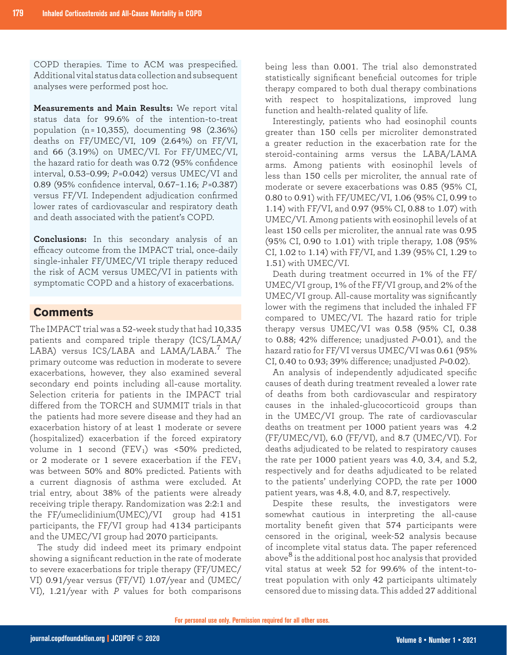COPD therapies. Time to ACM was prespecified. Additional vital status data collection and subsequent analyses were performed post hoc.

**Measurements and Main Results:** We report vital status data for 99.6% of the intention-to-treat population (n = 10,355), documenting 98 (2.36%) deaths on FF/UMEC/VI, 109 (2.64%) on FF/VI, and 66 (3.19%) on UMEC/VI. For FF/UMEC/VI, the hazard ratio for death was 0.72 (95% confidence interval, 0.53–0.99; *P* =0.042) versus UMEC/VI and 0.89 (95% confidence interval, 0.67–1.16; *P* =0.387) versus FF/VI. Independent adjudication confirmed lower rates of cardiovascular and respiratory death and death associated with the patient's COPD.

**Conclusions:** In this secondary analysis of an efficacy outcome from the IMPACT trial, once-daily single-inhaler FF/UMEC/VI triple therapy reduced the risk of ACM versus UMEC/VI in patients with symptomatic COPD and a history of exacerbations.

#### **Comments**

The IMPACT trial was a 52-week study that had 10,335 patients and compared triple therapy (ICS/LAMA/ LABA) versus ICS/LABA and LAMA/LABA.<sup>7</sup> The primary outcome was reduction in moderate to severe exacerbations, however, they also examined several secondary end points including all-cause mortality. Selection criteria for patients in the IMPACT trial differed from the TORCH and SUMMIT trials in that the patients had more severe disease and they had an exacerbation history of at least 1 moderate or severe (hospitalized) exacerbation if the forced expiratory volume in 1 second  $(FEV_1)$  was  $\lt 50\%$  predicted, or 2 moderate or 1 severe exacerbation if the FEV<sup>1</sup> was between 50% and 80% predicted. Patients with a current diagnosis of asthma were excluded. At trial entry, about 38% of the patients were already receiving triple therapy. Randomization was 2:2:1 and the FF/umeclidinium(UMEC)/VI group had 4151 participants, the FF/VI group had 4134 participants and the UMEC/VI group had 2070 participants.

The study did indeed meet its primary endpoint showing a significant reduction in the rate of moderate to severe exacerbations for triple therapy (FF/UMEC/ VI) 0.91/year versus (FF/VI) 1.07/year and (UMEC/ VI), 1.21/year with *P* values for both comparisons

being less than 0.001. The trial also demonstrated statistically significant beneficial outcomes for triple therapy compared to both dual therapy combinations with respect to hospitalizations, improved lung function and health-related quality of life.

Interestingly, patients who had eosinophil counts greater than 150 cells per microliter demonstrated a greater reduction in the exacerbation rate for the steroid-containing arms versus the LABA/LAMA arms. Among patients with eosinophil levels of less than 150 cells per microliter, the annual rate of moderate or severe exacerbations was 0.85 (95% CI, 0.80 to 0.91) with FF/UMEC/VI, 1.06 (95% CI, 0.99 to 1.14) with FF/VI, and 0.97 (95% CI, 0.88 to 1.07) with UMEC/VI. Among patients with eosinophil levels of at least 150 cells per microliter, the annual rate was 0.95 (95% CI, 0.90 to 1.01) with triple therapy, 1.08 (95% CI, 1.02 to 1.14) with FF/VI, and 1.39 (95% CI, 1.29 to 1.51) with UMEC/VI.

Death during treatment occurred in 1% of the FF/ UMEC/VI group, 1% of the FF/VI group, and 2% of the UMEC/VI group. All-cause mortality was significantly lower with the regimens that included the inhaled FF compared to UMEC/VI. The hazard ratio for triple therapy versus UMEC/VI was 0.58 (95% CI, 0.38 to 0.88; 42% difference; unadjusted *P*=0.01), and the hazard ratio for FF/VI versus UMEC/VI was 0.61 (95% CI, 0.40 to 0.93; 39% difference; unadjusted *P*=0.02).

An analysis of independently adjudicated specific causes of death during treatment revealed a lower rate of deaths from both cardiovascular and respiratory causes in the inhaled-glucocorticoid groups than in the UMEC/VI group. The rate of cardiovascular deaths on treatment per 1000 patient years was 4.2 (FF/UMEC/VI), 6.0 (FF/VI), and 8.7 (UMEC/VI). For deaths adjudicated to be related to respiratory causes the rate per 1000 patient years was 4.0, 3.4, and 5.2, respectively and for deaths adjudicated to be related to the patients' underlying COPD, the rate per 1000 patient years, was 4.8, 4.0, and 8.7, respectively.

Despite these results, the investigators were somewhat cautious in interpreting the all-cause mortality benefit given that 574 participants were censored in the original, week-52 analysis because of incomplete vital status data. The paper referenced above ${}^{8}$  is the additional post hoc analysis that provided vital status at week 52 for 99.6% of the intent-totreat population with only 42 participants ultimately censored due to missing data. This added 27 additional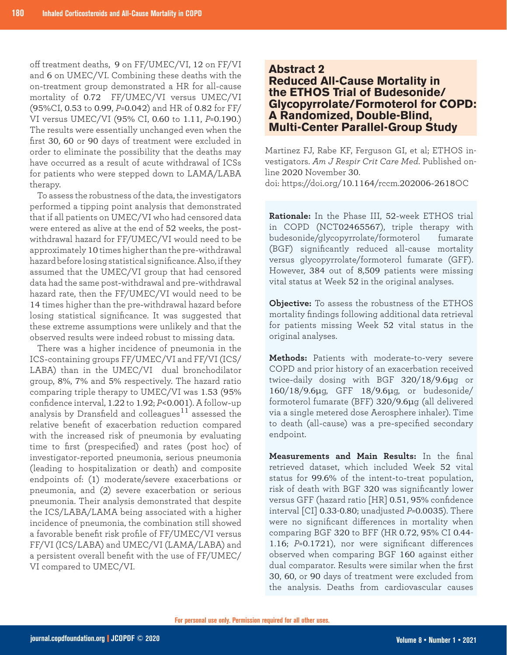off treatment deaths, 9 on FF/UMEC/VI, 12 on FF/VI and 6 on UMEC/VI. Combining these deaths with the on-treatment group demonstrated a HR for all-cause mortality of 0.72 FF/UMEC/VI versus UMEC/VI (95%CI, 0.53 to 0.99, *P*=0.042) and HR of 0.82 for FF/ VI versus UMEC/VI (95% CI, 0.60 to 1.11, *P*=0.190.) The results were essentially unchanged even when the first 30, 60 or 90 days of treatment were excluded in order to eliminate the possibility that the deaths may have occurred as a result of acute withdrawal of ICSs for patients who were stepped down to LAMA/LABA therapy.

To assess the robustness of the data, the investigators performed a tipping point analysis that demonstrated that if all patients on UMEC/VI who had censored data were entered as alive at the end of 52 weeks, the postwithdrawal hazard for FF/UMEC/VI would need to be approximately 10 times higher than the pre-withdrawal hazard before losing statistical significance. Also, if they assumed that the UMEC/VI group that had censored data had the same post-withdrawal and pre-withdrawal hazard rate, then the FF/UMEC/VI would need to be 14 times higher than the pre-withdrawal hazard before losing statistical significance. It was suggested that these extreme assumptions were unlikely and that the observed results were indeed robust to missing data.

There was a higher incidence of pneumonia in the ICS-containing groups FF/UMEC/VI and FF/VI (ICS/ LABA) than in the UMEC/VI dual bronchodilator group, 8%, 7% and 5% respectively. The hazard ratio comparing triple therapy to UMEC/VI was 1.53 (95% confidence interval, 1.22 to 1.92; *P*<0.001). A follow-up analysis by Dransfield and colleagues $^{11}$  assessed the relative benefit of exacerbation reduction compared with the increased risk of pneumonia by evaluating time to first (prespecified) and rates (post hoc) of investigator-reported pneumonia, serious pneumonia (leading to hospitalization or death) and composite endpoints of: (1) moderate/severe exacerbations or pneumonia, and (2) severe exacerbation or serious pneumonia. Their analysis demonstrated that despite the ICS/LABA/LAMA being associated with a higher incidence of pneumonia, the combination still showed a favorable benefit risk profile of FF/UMEC/VI versus FF/VI (ICS/LABA) and UMEC/VI (LAMA/LABA) and a persistent overall benefit with the use of FF/UMEC/ VI compared to UMEC/VI.

## **Abstract 2**

# **Reduced All-Cause Mortality in the ETHOS Trial of Budesonide/ Glycopyrrolate/Formoterol for COPD: A Randomized, Double-Blind, Multi-Center Parallel-Group Study**

Martinez FJ, Rabe KF, Ferguson GI, et al; ETHOS investigators. *Am J Respir Crit Care Med*. Published online 2020 November 30. doi: https://doi.org/10.1164/rccm.202006-2618OC

**Rationale:** In the Phase III, 52-week ETHOS trial in COPD (NCT02465567), triple therapy with budesonide/glycopyrrolate/formoterol fumarate (BGF) significantly reduced all-cause mortality versus glycopyrrolate/formoterol fumarate (GFF). However, 384 out of 8,509 patients were missing vital status at Week 52 in the original analyses.

**Objective:** To assess the robustness of the ETHOS mortality findings following additional data retrieval for patients missing Week 52 vital status in the original analyses.

**Methods:** Patients with moderate-to-very severe COPD and prior history of an exacerbation received twice-daily dosing with BGF 320/18/9.6μg or 160/18/9.6μg, GFF 18/9.6μg, or budesonide/ formoterol fumarate (BFF) 320/9.6μg (all delivered via a single metered dose Aerosphere inhaler). Time to death (all-cause) was a pre-specified secondary endpoint.

**Measurements and Main Results:** In the final retrieved dataset, which included Week 52 vital status for 99.6% of the intent-to-treat population, risk of death with BGF 320 was significantly lower versus GFF (hazard ratio [HR] 0.51, 95% confidence interval [CI] 0.33-0.80; unadjusted *P*=0.0035). There were no significant differences in mortality when comparing BGF 320 to BFF (HR 0.72, 95% CI 0.44- 1.16; *P*=0.1721), nor were significant differences observed when comparing BGF 160 against either dual comparator. Results were similar when the first 30, 60, or 90 days of treatment were excluded from the analysis. Deaths from cardiovascular causes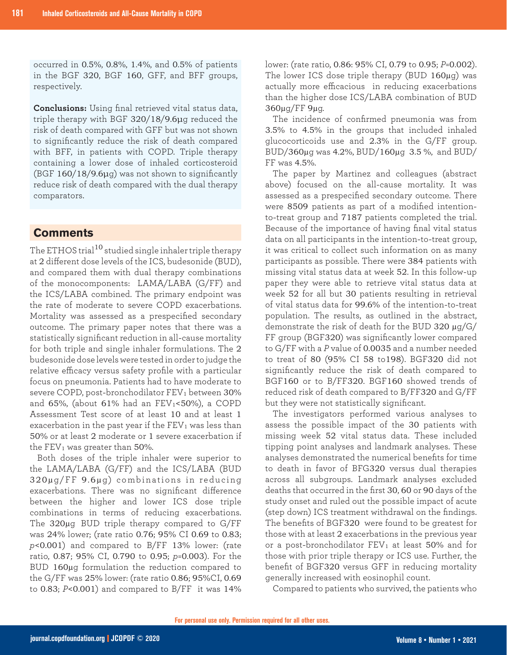occurred in 0.5%, 0.8%, 1.4%, and 0.5% of patients in the BGF 320, BGF 160, GFF, and BFF groups, respectively.

**Conclusions:** Using final retrieved vital status data, triple therapy with BGF 320/18/9.6μg reduced the risk of death compared with GFF but was not shown to significantly reduce the risk of death compared with BFF, in patients with COPD. Triple therapy containing a lower dose of inhaled corticosteroid (BGF 160/18/9.6μg) was not shown to significantly reduce risk of death compared with the dual therapy comparators.

# **Comments**

The ETHOS trial<sup>10</sup> studied single inhaler triple therapy at 2 different dose levels of the ICS, budesonide (BUD), and compared them with dual therapy combinations of the monocomponents: LAMA/LABA (G/FF) and the ICS/LABA combined. The primary endpoint was the rate of moderate to severe COPD exacerbations. Mortality was assessed as a prespecified secondary outcome. The primary paper notes that there was a statistically significant reduction in all-cause mortality for both triple and single inhaler formulations. The 2 budesonide dose levels were tested in order to judge the relative efficacy versus safety profile with a particular focus on pneumonia. Patients had to have moderate to severe COPD, post-bronchodilator FEV<sub>1</sub> between 30% and 65%, (about 61% had an  $FEV_1<50\%$ ), a COPD Assessment Test score of at least 10 and at least 1 exacerbation in the past year if the  $FEV<sub>1</sub>$  was less than 50% or at least 2 moderate or 1 severe exacerbation if the  $FEV_1$  was greater than 50%.

Both doses of the triple inhaler were superior to the LAMA/LABA (G/FF) and the ICS/LABA (BUD  $320\mu$ g/FF 9.6 $\mu$ g) combinations in reducing exacerbations. There was no significant difference between the higher and lower ICS dose triple combinations in terms of reducing exacerbations. The 320µg BUD triple therapy compared to G/FF was 24% lower; (rate ratio 0.76; 95% CI 0.69 to 0.83; *p*<0.001) and compared to B/FF 13% lower: (rate ratio, 0.87; 95% CI, 0.790 to 0.95; *p*=0.003). For the BUD 160µg formulation the reduction compared to the G/FF was 25% lower: (rate ratio 0.86; 95%CI, 0.69 to 0.83; *P*<0.001) and compared to B/FF it was 14% lower: (rate ratio, 0.86: 95% CI, 0.79 to 0.95; *P*=0.002). The lower ICS dose triple therapy (BUD 160µg) was actually more efficacious in reducing exacerbations than the higher dose ICS/LABA combination of BUD 360µg/FF 9µg.

The incidence of confirmed pneumonia was from 3.5% to 4.5% in the groups that included inhaled glucocorticoids use and 2.3% in the G/FF group. BUD/360µg was 4.2%, BUD/160µg 3.5 %, and BUD/ FF was 4.5%.

The paper by Martinez and colleagues (abstract above) focused on the all-cause mortality. It was assessed as a prespecified secondary outcome. There were 8509 patients as part of a modified intentionto-treat group and 7187 patients completed the trial. Because of the importance of having final vital status data on all participants in the intention-to-treat group, it was critical to collect such information on as many participants as possible. There were 384 patients with missing vital status data at week 52. In this follow-up paper they were able to retrieve vital status data at week 52 for all but 30 patients resulting in retrieval of vital status data for 99.6% of the intention-to-treat population. The results, as outlined in the abstract, demonstrate the risk of death for the BUD 320 µg/G/ FF group (BGF320) was significantly lower compared to G/FF with a *P* value of 0.0035 and a number needed to treat of 80 (95% CI 58 to198). BGF320 did not significantly reduce the risk of death compared to BGF160 or to B/FF320. BGF160 showed trends of reduced risk of death compared to B/FF320 and G/FF but they were not statistically significant.

The investigators performed various analyses to assess the possible impact of the 30 patients with missing week 52 vital status data. These included tipping point analyses and landmark analyses. These analyses demonstrated the numerical benefits for time to death in favor of BFG320 versus dual therapies across all subgroups. Landmark analyses excluded deaths that occurred in the first 30, 60 or 90 days of the study onset and ruled out the possible impact of acute (step down) ICS treatment withdrawal on the findings. The benefits of BGF320 were found to be greatest for those with at least 2 exacerbations in the previous year or a post-bronchodilator  $FEV<sub>1</sub>$  at least 50% and for those with prior triple therapy or ICS use. Further, the benefit of BGF320 versus GFF in reducing mortality generally increased with eosinophil count.

Compared to patients who survived, the patients who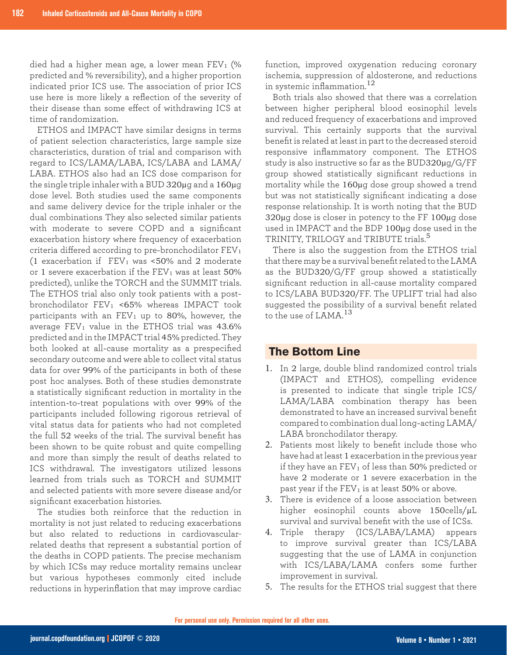died had a higher mean age, a lower mean  $FEV<sub>1</sub>$  (% predicted and % reversibility), and a higher proportion indicated prior ICS use. The association of prior ICS use here is more likely a reflection of the severity of their disease than some effect of withdrawing ICS at time of randomization.

ETHOS and IMPACT have similar designs in terms of patient selection characteristics, large sample size characteristics, duration of trial and comparison with regard to ICS/LAMA/LABA, ICS/LABA and LAMA/ LABA. ETHOS also had an ICS dose comparison for the single triple inhaler with a BUD 320µg and a 160µg dose level. Both studies used the same components and same delivery device for the triple inhaler or the dual combinations They also selected similar patients with moderate to severe COPD and a significant exacerbation history where frequency of exacerbation criteria differed according to pre-bronchodilator FEV<sub>1</sub> (1 exacerbation if  $FEV_1$  was <50% and 2 moderate or 1 severe exacerbation if the  $FEV<sub>1</sub>$  was at least  $50\%$ predicted), unlike the TORCH and the SUMMIT trials. The ETHOS trial also only took patients with a postbronchodilator FEV<sup>1</sup> <65% whereas IMPACT took participants with an  $FEV_1$  up to 80%, however, the average  $FEV_1$  value in the ETHOS trial was 43.6% predicted and in the IMPACT trial 45% predicted. They both looked at all-cause mortality as a prespecified secondary outcome and were able to collect vital status data for over 99% of the participants in both of these post hoc analyses. Both of these studies demonstrate a statistically significant reduction in mortality in the intention-to-treat populations with over 99% of the participants included following rigorous retrieval of vital status data for patients who had not completed the full 52 weeks of the trial. The survival benefit has been shown to be quite robust and quite compelling and more than simply the result of deaths related to ICS withdrawal. The investigators utilized lessons learned from trials such as TORCH and SUMMIT and selected patients with more severe disease and/or significant exacerbation histories.

The studies both reinforce that the reduction in mortality is not just related to reducing exacerbations but also related to reductions in cardiovascularrelated deaths that represent a substantial portion of the deaths in COPD patients. The precise mechanism by which ICSs may reduce mortality remains unclear but various hypotheses commonly cited include reductions in hyperinflation that may improve cardiac

function, improved oxygenation reducing coronary ischemia, suppression of aldosterone, and reductions in systemic inflammation.<sup>12</sup>

Both trials also showed that there was a correlation between higher peripheral blood eosinophil levels and reduced frequency of exacerbations and improved survival. This certainly supports that the survival benefit is related at least in part to the decreased steroid responsive inflammatory component. The ETHOS study is also instructive so far as the BUD320µg/G/FF group showed statistically significant reductions in mortality while the 160µg dose group showed a trend but was not statistically significant indicating a dose response relationship. It is worth noting that the BUD 320µg dose is closer in potency to the FF 100µg dose used in IMPACT and the BDP 100µg dose used in the TRINITY, TRILOGY and TRIBUTE trials.<sup>5</sup>

There is also the suggestion from the ETHOS trial that there may be a survival benefit related to the LAMA as the BUD320/G/FF group showed a statistically significant reduction in all-cause mortality compared to ICS/LABA BUD320/FF. The UPLIFT trial had also suggested the possibility of a survival benefit related to the use of LAMA<sup>13</sup>

### **The Bottom Line**

- 1. In 2 large, double blind randomized control trials (IMPACT and ETHOS), compelling evidence is presented to indicate that single triple ICS/ LAMA/LABA combination therapy has been demonstrated to have an increased survival benefit compared to combination dual long-acting LAMA/ LABA bronchodilator therapy.
- 2. Patients most likely to benefit include those who have had at least 1 exacerbation in the previous year if they have an  $FEV_1$  of less than 50% predicted or have 2 moderate or 1 severe exacerbation in the past year if the  $FEV_1$  is at least 50% or above.
- 3. There is evidence of a loose association between higher eosinophil counts above 150cells/µL survival and survival benefit with the use of ICSs.
- 4. Triple therapy (ICS/LABA/LAMA) appears to improve survival greater than ICS/LABA suggesting that the use of LAMA in conjunction with ICS/LABA/LAMA confers some further improvement in survival.
- 5. The results for the ETHOS trial suggest that there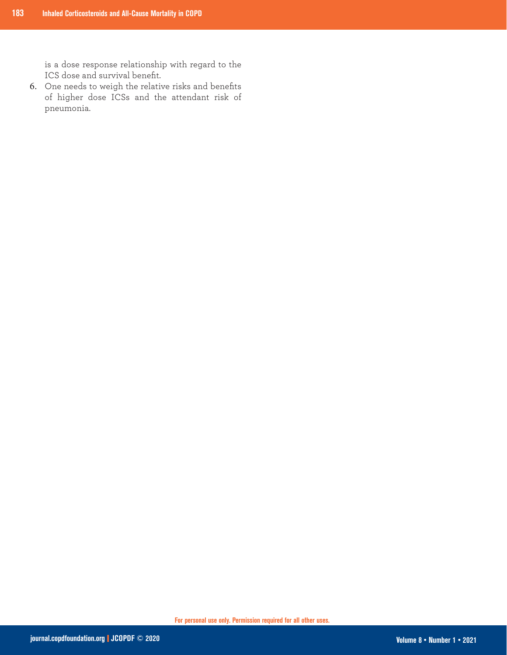is a dose response relationship with regard to the ICS dose and survival benefit.

6. One needs to weigh the relative risks and benefits of higher dose ICSs and the attendant risk of pneumonia.